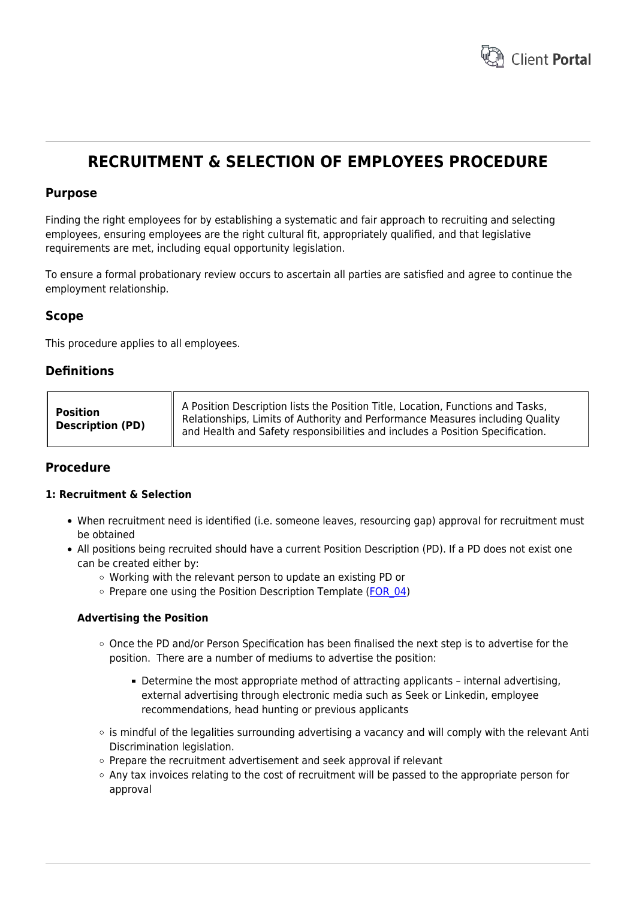

# **RECRUITMENT & SELECTION OF EMPLOYEES PROCEDURE**

## **Purpose**

Finding the right employees for by establishing a systematic and fair approach to recruiting and selecting employees, ensuring employees are the right cultural fit, appropriately qualified, and that legislative requirements are met, including equal opportunity legislation.

To ensure a formal probationary review occurs to ascertain all parties are satisfied and agree to continue the employment relationship.

## **Scope**

This procedure applies to all employees.

## **Definitions**

| Position<br><b>Description (PD)</b> | $\parallel$ A Position Description lists the Position Title, Location, Functions and Tasks,<br>Relationships, Limits of Authority and Performance Measures including Quality<br>  and Health and Safety responsibilities and includes a Position Specification. |
|-------------------------------------|-----------------------------------------------------------------------------------------------------------------------------------------------------------------------------------------------------------------------------------------------------------------|
|-------------------------------------|-----------------------------------------------------------------------------------------------------------------------------------------------------------------------------------------------------------------------------------------------------------------|

## **Procedure**

#### **1: Recruitment & Selection**

- When recruitment need is identified (i.e. someone leaves, resourcing gap) approval for recruitment must be obtained
- All positions being recruited should have a current Position Description (PD). If a PD does not exist one can be created either by:
	- Working with the relevant person to update an existing PD or
	- $\circ$  Prepare one using the Position Description Template (FOR 04)

#### **Advertising the Position**

- $\circ$  Once the PD and/or Person Specification has been finalised the next step is to advertise for the position. There are a number of mediums to advertise the position:
	- Determine the most appropriate method of attracting applicants internal advertising, external advertising through electronic media such as Seek or Linkedin, employee recommendations, head hunting or previous applicants
- $\circ$  is mindful of the legalities surrounding advertising a vacancy and will comply with the relevant Anti Discrimination legislation.
- $\circ$  Prepare the recruitment advertisement and seek approval if relevant
- $\circ$  Any tax invoices relating to the cost of recruitment will be passed to the appropriate person for approval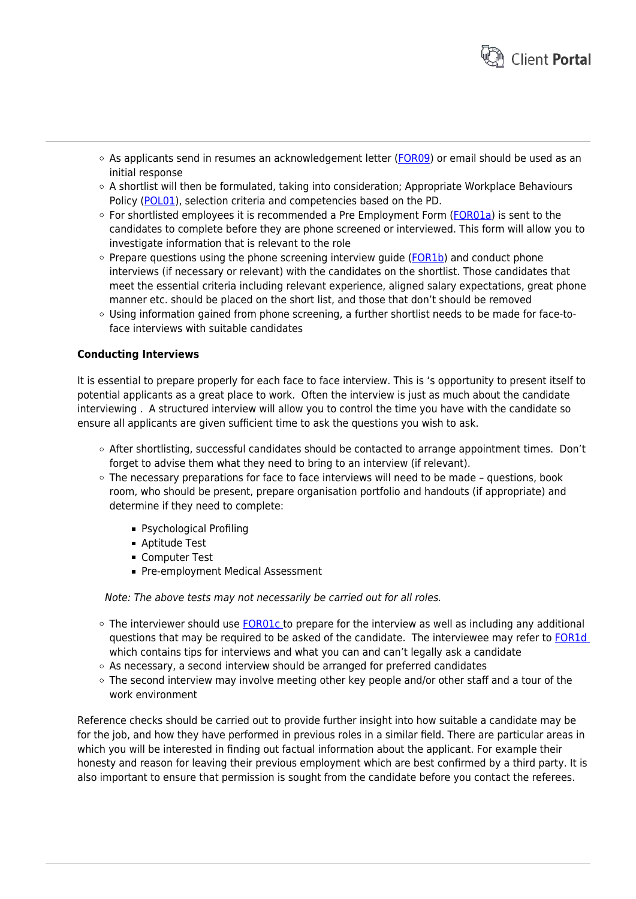

- $\circ$  As applicants send in resumes an acknowledgement letter ([FOR09\)](https://www.hrtemplates.com.au/formtemplates/hr-for09-acklgmt-recruitment-letter/) or email should be used as an initial response
- $\circ$  A shortlist will then be formulated, taking into consideration; Appropriate Workplace Behaviours Policy [\(POL01](https://www.hrtemplates.com.au/policies_procedures/hr-pol01-appropriate-workplace-behaviours-policy/)), selection criteria and competencies based on the PD.
- $\circ$  For shortlisted employees it is recommended a Pre Employment Form ( $FOR01a$ ) is sent to the candidates to complete before they are phone screened or interviewed. This form will allow you to investigate information that is relevant to the role
- $\circ$  Prepare questions using the phone screening interview guide ([FOR1b\)](https://www.hrtemplates.com.au/form_templates/hr-for1b-phone-interview-questions/) and conduct phone interviews (if necessary or relevant) with the candidates on the shortlist. Those candidates that meet the essential criteria including relevant experience, aligned salary expectations, great phone manner etc. should be placed on the short list, and those that don't should be removed
- Using information gained from phone screening, a further shortlist needs to be made for face-toface interviews with suitable candidates

## **Conducting Interviews**

It is essential to prepare properly for each face to face interview. This is 's opportunity to present itself to potential applicants as a great place to work. Often the interview is just as much about the candidate interviewing . A structured interview will allow you to control the time you have with the candidate so ensure all applicants are given sufficient time to ask the questions you wish to ask.

- o After shortlisting, successful candidates should be contacted to arrange appointment times. Don't forget to advise them what they need to bring to an interview (if relevant).
- The necessary preparations for face to face interviews will need to be made questions, book room, who should be present, prepare organisation portfolio and handouts (if appropriate) and determine if they need to complete:
	- Psychological Profiling
	- Aptitude Test
	- **Computer Test**
	- **Pre-employment Medical Assessment**

Note: The above tests may not necessarily be carried out for all roles.

- $\circ$  The interviewer should use **FOR01c** to prepare for the interview as well as including any additional questions that may be required to be asked of the candidate. The interviewee may refer to [FOR1d](https://www.hrtemplates.com.au/formtemplates/hr-for1d-interview-tips/)  which contains tips for interviews and what you can and can't legally ask a candidate
- $\circ$  As necessary, a second interview should be arranged for preferred candidates
- $\circ$  The second interview may involve meeting other key people and/or other staff and a tour of the work environment

Reference checks should be carried out to provide further insight into how suitable a candidate may be for the job, and how they have performed in previous roles in a similar field. There are particular areas in which you will be interested in finding out factual information about the applicant. For example their honesty and reason for leaving their previous employment which are best confirmed by a third party. It is also important to ensure that permission is sought from the candidate before you contact the referees.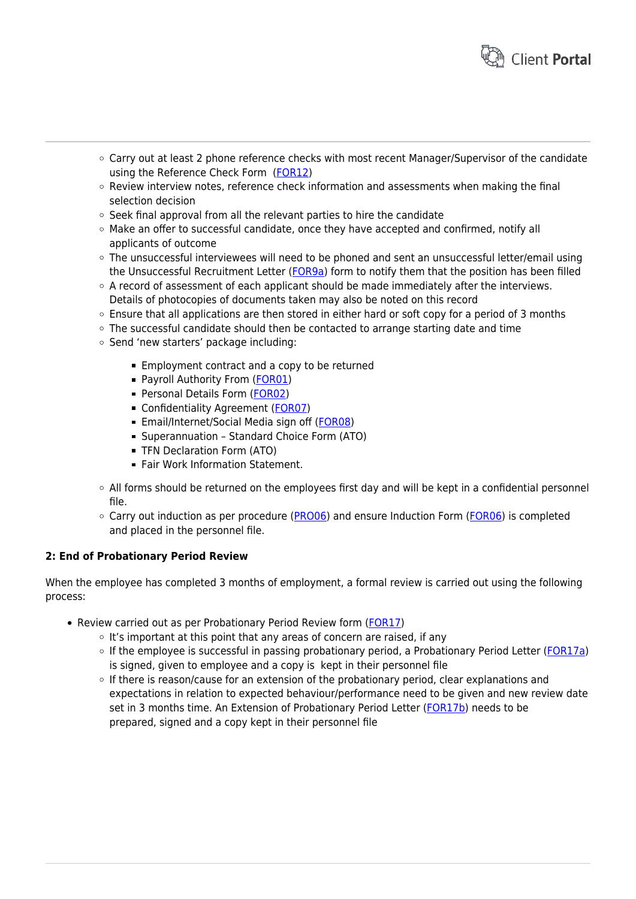

- Carry out at least 2 phone reference checks with most recent Manager/Supervisor of the candidate using the Reference Check Form ([FOR12\)](https://www.hrtemplates.com.au/formtemplates/hr-for12-phone-ref-check-form/)
- Review interview notes, reference check information and assessments when making the final selection decision
- $\circ$  Seek final approval from all the relevant parties to hire the candidate
- $\circ$  Make an offer to successful candidate, once they have accepted and confirmed, notify all applicants of outcome
- $\circ$  The unsuccessful interviewees will need to be phoned and sent an unsuccessful letter/email using the Unsuccessful Recruitment Letter ([FOR9a](https://www.hrtemplates.com.au/formtemplates/hr-for09a-unsuccessful-recruitment-letter/)) form to notify them that the position has been filled
- A record of assessment of each applicant should be made immediately after the interviews. Details of photocopies of documents taken may also be noted on this record
- $\circ$  Ensure that all applications are then stored in either hard or soft copy for a period of 3 months
- The successful candidate should then be contacted to arrange starting date and time
- o Send 'new starters' package including:
	- **Employment contract and a copy to be returned**
	- Payroll Authority From ([FOR01\)](https://www.hrtemplates.com.au/form_templates/hr-for01-payroll-authority/)
	- Personal Details Form ([FOR02](https://www.hrtemplates.com.au/form_templates/hr-for02-personal-details/))
	- Confidentiality Agreement [\(FOR07](https://www.hrtemplates.com.au/formtemplates/hr-for07-confidentiality-form/))
	- Email/Internet/Social Media sign off [\(FOR08](https://www.hrtemplates.com.au/formtemplates/hr-for08-email-internet-form/))
	- Superannuation Standard Choice Form (ATO)
	- TFN Declaration Form (ATO)
	- **Fair Work Information Statement.**
- $\circ$  All forms should be returned on the employees first day and will be kept in a confidential personnel file.
- $\circ$  Carry out induction as per procedure [\(PRO06\)](https://www.hrtemplates.com.au/policies_procedures/hr-pro06-induction-procedure/) and ensure Induction Form ([FOR06\)](https://www.hrtemplates.com.au/form_templates/hr-for06-induction-form/) is completed and placed in the personnel file.

### **2: End of Probationary Period Review**

When the employee has completed 3 months of employment, a formal review is carried out using the following process:

- Review carried out as per Probationary Period Review form [\(FOR17](https://www.hrtemplates.com.au/formtemplates/hr-for17-probationary-period-review/))
	- $\circ$  It's important at this point that any areas of concern are raised, if any
	- o If the employee is successful in passing probationary period, a Probationary Period Letter [\(FOR17a\)](https://www.hrtemplates.com.au/formtemplates/hr-for17a-probationary-period-letter/) is signed, given to employee and a copy is kept in their personnel file
	- $\circ$  If there is reason/cause for an extension of the probationary period, clear explanations and expectations in relation to expected behaviour/performance need to be given and new review date set in 3 months time. An Extension of Probationary Period Letter ([FOR17b](https://www.hrtemplates.com.au/formtemplates/hr-for17b-probationary-period-extension-letter/)) needs to be prepared, signed and a copy kept in their personnel file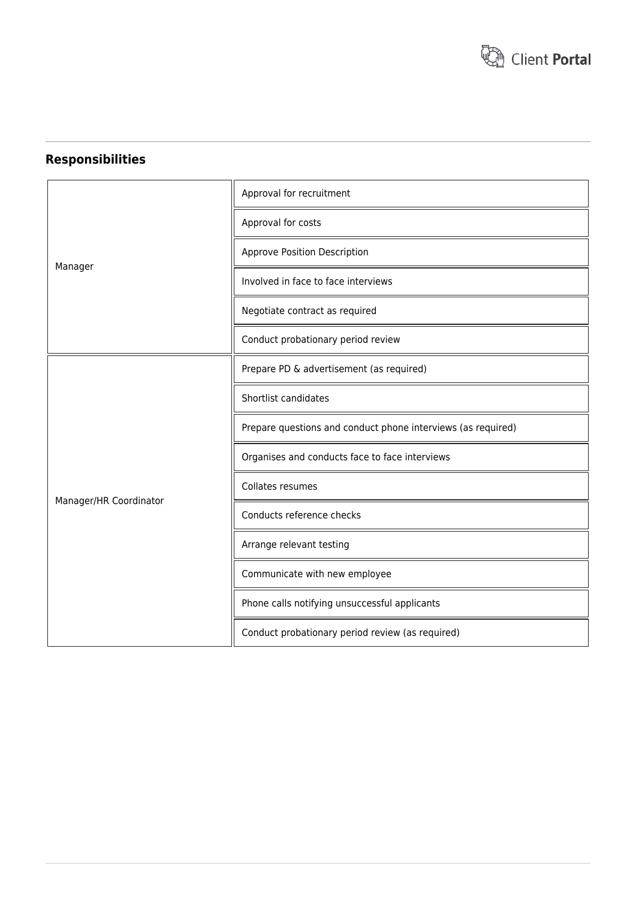

## **Responsibilities**

|                        | Approval for recruitment                                     |
|------------------------|--------------------------------------------------------------|
|                        | Approval for costs                                           |
|                        | Approve Position Description                                 |
| Manager                | Involved in face to face interviews                          |
|                        | Negotiate contract as required                               |
|                        | Conduct probationary period review                           |
|                        | Prepare PD & advertisement (as required)                     |
|                        | Shortlist candidates                                         |
|                        | Prepare questions and conduct phone interviews (as required) |
|                        | Organises and conducts face to face interviews               |
|                        | Collates resumes                                             |
| Manager/HR Coordinator | Conducts reference checks                                    |
|                        | Arrange relevant testing                                     |
|                        | Communicate with new employee                                |
|                        | Phone calls notifying unsuccessful applicants                |
|                        | Conduct probationary period review (as required)             |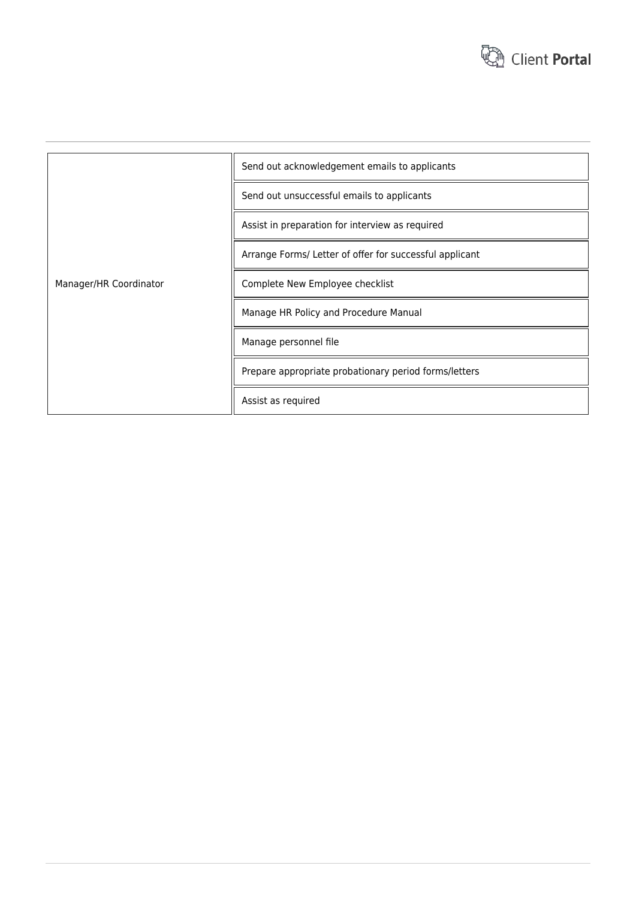

|                        | Send out acknowledgement emails to applicants           |
|------------------------|---------------------------------------------------------|
|                        | Send out unsuccessful emails to applicants              |
|                        | Assist in preparation for interview as required         |
|                        | Arrange Forms/ Letter of offer for successful applicant |
| Manager/HR Coordinator | Complete New Employee checklist                         |
|                        | Manage HR Policy and Procedure Manual                   |
|                        | Manage personnel file                                   |
|                        | Prepare appropriate probationary period forms/letters   |
|                        | Assist as required                                      |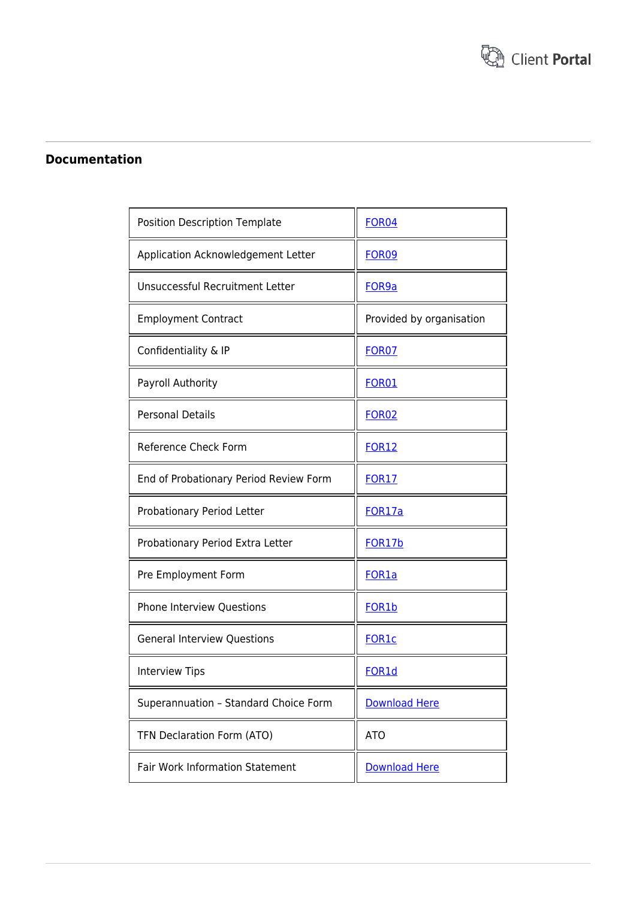

## **Documentation**

| Position Description Template          | <b>FOR04</b>             |
|----------------------------------------|--------------------------|
| Application Acknowledgement Letter     | <b>FOR09</b>             |
| Unsuccessful Recruitment Letter        | FOR9a                    |
| <b>Employment Contract</b>             | Provided by organisation |
| Confidentiality & IP                   | FOR <sub>07</sub>        |
| Payroll Authority                      | <b>FOR01</b>             |
| <b>Personal Details</b>                | <b>FOR02</b>             |
| Reference Check Form                   | <b>FOR12</b>             |
| End of Probationary Period Review Form | <b>FOR17</b>             |
| Probationary Period Letter             | FOR17a                   |
| Probationary Period Extra Letter       | FOR17b                   |
| Pre Employment Form                    | FOR <sub>1</sub> a       |
| <b>Phone Interview Questions</b>       | FOR <sub>1</sub> b       |
| <b>General Interview Questions</b>     | <b>FOR1c</b>             |
| <b>Interview Tips</b>                  | FOR1d                    |
| Superannuation - Standard Choice Form  | <b>Download Here</b>     |
| TFN Declaration Form (ATO)             | <b>ATO</b>               |
| <b>Fair Work Information Statement</b> | <b>Download Here</b>     |